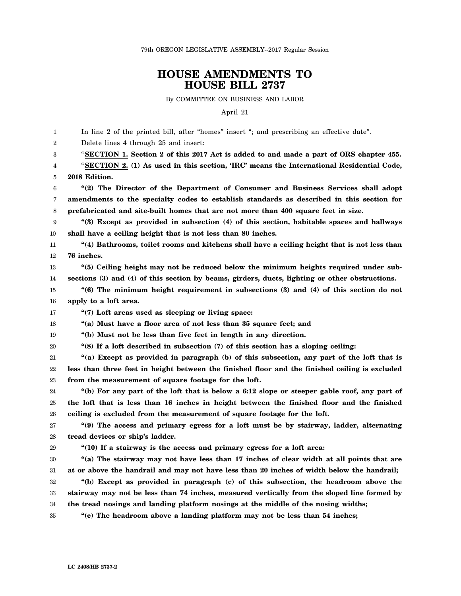79th OREGON LEGISLATIVE ASSEMBLY--2017 Regular Session

## **HOUSE AMENDMENTS TO HOUSE BILL 2737**

By COMMITTEE ON BUSINESS AND LABOR

April 21

1  $\mathfrak{D}$ 3 4 5 6 7 8 9 10 11 12 13 14 15 16 17 18 19 20 21 22 23 24 25 26 27 28 29 30 31 32 33 34 35 In line 2 of the printed bill, after "homes" insert "; and prescribing an effective date". Delete lines 4 through 25 and insert: "**SECTION 1. Section 2 of this 2017 Act is added to and made a part of ORS chapter 455.** "**SECTION 2. (1) As used in this section, 'IRC' means the International Residential Code, 2018 Edition. "(2) The Director of the Department of Consumer and Business Services shall adopt amendments to the specialty codes to establish standards as described in this section for prefabricated and site-built homes that are not more than 400 square feet in size. "(3) Except as provided in subsection (4) of this section, habitable spaces and hallways shall have a ceiling height that is not less than 80 inches. "(4) Bathrooms, toilet rooms and kitchens shall have a ceiling height that is not less than 76 inches. "(5) Ceiling height may not be reduced below the minimum heights required under subsections (3) and (4) of this section by beams, girders, ducts, lighting or other obstructions. "(6) The minimum height requirement in subsections (3) and (4) of this section do not apply to a loft area. "(7) Loft areas used as sleeping or living space: "(a) Must have a floor area of not less than 35 square feet; and "(b) Must not be less than five feet in length in any direction. "(8) If a loft described in subsection (7) of this section has a sloping ceiling: "(a) Except as provided in paragraph (b) of this subsection, any part of the loft that is less than three feet in height between the finished floor and the finished ceiling is excluded from the measurement of square footage for the loft. "(b) For any part of the loft that is below a 6:12 slope or steeper gable roof, any part of the loft that is less than 16 inches in height between the finished floor and the finished ceiling is excluded from the measurement of square footage for the loft. "(9) The access and primary egress for a loft must be by stairway, ladder, alternating tread devices or ship's ladder. "(10) If a stairway is the access and primary egress for a loft area: "(a) The stairway may not have less than 17 inches of clear width at all points that are at or above the handrail and may not have less than 20 inches of width below the handrail; "(b) Except as provided in paragraph (c) of this subsection, the headroom above the stairway may not be less than 74 inches, measured vertically from the sloped line formed by the tread nosings and landing platform nosings at the middle of the nosing widths; "(c) The headroom above a landing platform may not be less than 54 inches;**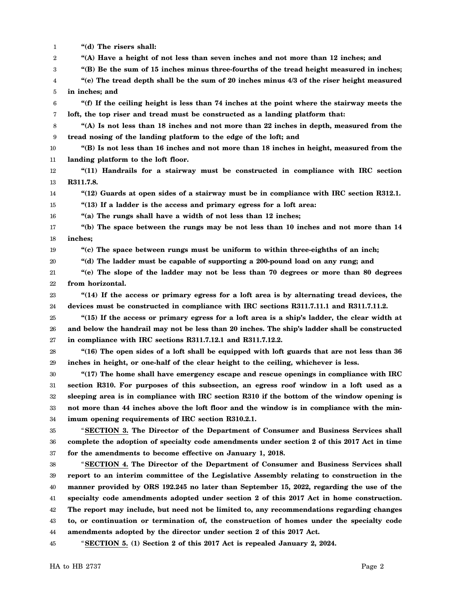1 2 3 4 5 6 7 8 9 10 11 12 13 14 15 16 17 18 19 20 21 22 23 24 25 26 27 28 29 30 31 32 33 34 35 36 37 38 39 40 41 42 43 44 45 **"(d) The risers shall: "(A) Have a height of not less than seven inches and not more than 12 inches; and "(B) Be the sum of 15 inches minus three-fourths of the tread height measured in inches; "(e) The tread depth shall be the sum of 20 inches minus 4/3 of the riser height measured in inches; and "(f) If the ceiling height is less than 74 inches at the point where the stairway meets the loft, the top riser and tread must be constructed as a landing platform that: "(A) Is not less than 18 inches and not more than 22 inches in depth, measured from the tread nosing of the landing platform to the edge of the loft; and "(B) Is not less than 16 inches and not more than 18 inches in height, measured from the landing platform to the loft floor. "(11) Handrails for a stairway must be constructed in compliance with IRC section R311.7.8. "(12) Guards at open sides of a stairway must be in compliance with IRC section R312.1. "(13) If a ladder is the access and primary egress for a loft area: "(a) The rungs shall have a width of not less than 12 inches; "(b) The space between the rungs may be not less than 10 inches and not more than 14 inches; "(c) The space between rungs must be uniform to within three-eighths of an inch; "(d) The ladder must be capable of supporting a 200-pound load on any rung; and "(e) The slope of the ladder may not be less than 70 degrees or more than 80 degrees from horizontal. "(14) If the access or primary egress for a loft area is by alternating tread devices, the devices must be constructed in compliance with IRC sections R311.7.11.1 and R311.7.11.2. "(15) If the access or primary egress for a loft area is a ship's ladder, the clear width at and below the handrail may not be less than 20 inches. The ship's ladder shall be constructed in compliance with IRC sections R311.7.12.1 and R311.7.12.2. "(16) The open sides of a loft shall be equipped with loft guards that are not less than 36 inches in height, or one-half of the clear height to the ceiling, whichever is less. "(17) The home shall have emergency escape and rescue openings in compliance with IRC section R310. For purposes of this subsection, an egress roof window in a loft used as a sleeping area is in compliance with IRC section R310 if the bottom of the window opening is not more than 44 inches above the loft floor and the window is in compliance with the minimum opening requirements of IRC section R310.2.1.** "**SECTION 3. The Director of the Department of Consumer and Business Services shall complete the adoption of specialty code amendments under section 2 of this 2017 Act in time for the amendments to become effective on January 1, 2018.** "**SECTION 4. The Director of the Department of Consumer and Business Services shall report to an interim committee of the Legislative Assembly relating to construction in the manner provided by ORS 192.245 no later than September 15, 2022, regarding the use of the specialty code amendments adopted under section 2 of this 2017 Act in home construction. The report may include, but need not be limited to, any recommendations regarding changes to, or continuation or termination of, the construction of homes under the specialty code amendments adopted by the director under section 2 of this 2017 Act.** "**SECTION 5. (1) Section 2 of this 2017 Act is repealed January 2, 2024.**